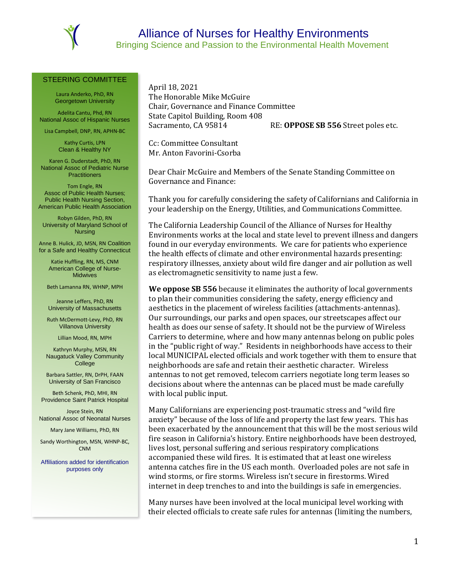

## STEERING COMMITTEE

Laura Anderko, PhD, RN Georgetown University

Adelita Cantu, Phd, RN National Assoc of Hispanic Nurses

Lisa Campbell, DNP, RN, APHN-BC

Kathy Curtis, LPN Clean & Healthy NY

Karen G. Duderstadt, PhD, RN National Assoc of Pediatric Nurse **Practitioners** 

Tom Engle, RN Assoc of Public Health Nurses; Public Health Nursing Section, American Public Health Association

Robyn Gilden, PhD, RN University of Maryland School of Nursing

Anne B. Hulick, JD, MSN, RN Coalition for a Safe and Healthy Connecticut

Katie Huffling, RN, MS, CNM American College of Nurse-**Midwives** 

Beth Lamanna RN, WHNP, MPH

Jeanne Leffers, PhD, RN University of Massachusetts

Ruth McDermott-Levy, PhD, RN Villanova University

Lillian Mood, RN, MPH

Kathryn Murphy, MSN, RN Naugatuck Valley Community College

Barbara Sattler, RN, DrPH, FAAN University of San Francisco

Beth Schenk, PhD, MHI, RN Providence Saint Patrick Hospital

Joyce Stein, RN National Assoc of Neonatal Nurses

Mary Jane Williams, PhD, RN

Sandy Worthington, MSN, WHNP-BC, CNM

Affiliations added for identification purposes only

April 18, 2021 The Honorable Mike McGuire Chair, Governance and Finance Committee State Capitol Building, Room 408 Sacramento, CA 95814 RE: **OPPOSE SB 556** Street poles etc.

Cc: Committee Consultant Mr. Anton Favorini-Csorba

Dear Chair McGuire and Members of the Senate Standing Committee on Governance and Finance:

Thank you for carefully considering the safety of Californians and California in your leadership on the Energy, Utilities, and Communications Committee.

The California Leadership Council of the Alliance of Nurses for Healthy Environments works at the local and state level to prevent illness and dangers found in our everyday environments. We care for patients who experience the health effects of climate and other environmental hazards presenting: respiratory illnesses, anxiety about wild fire danger and air pollution as well as electromagnetic sensitivity to name just a few.

**We oppose SB 556** because it eliminates the authority of local governments to plan their communities considering the safety, energy efficiency and aesthetics in the placement of wireless facilities (attachments-antennas). Our surroundings, our parks and open spaces, our streetscapes affect our health as does our sense of safety. It should not be the purview of Wireless Carriers to determine, where and how many antennas belong on public poles in the "public right of way." Residents in neighborhoods have access to their local MUNICIPAL elected officials and work together with them to ensure that neighborhoods are safe and retain their aesthetic character. Wireless antennas to not get removed, telecom carriers negotiate long term leases so decisions about where the antennas can be placed must be made carefully with local public input.

Many Californians are experiencing post-traumatic stress and "wild fire anxiety" because of the loss of life and property the last few years. This has been exacerbated by the announcement that this will be the most serious wild fire season in California's history. Entire neighborhoods have been destroyed, lives lost, personal suffering and serious respiratory complications accompanied these wild fires. It is estimated that at least one wireless antenna catches fire in the US each month. Overloaded poles are not safe in wind storms, or fire storms. Wireless isn't secure in firestorms. Wired internet in deep trenches to and into the buildings is safe in emergencies.

Many nurses have been involved at the local municipal level working with their elected officials to create safe rules for antennas (limiting the numbers,